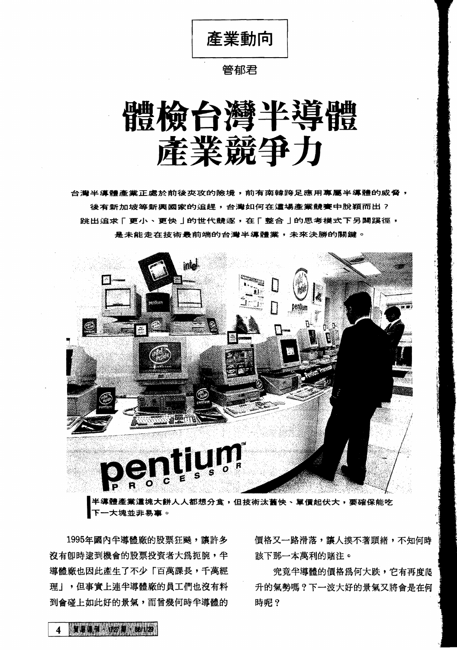產業動向

## 管郁君

# 體檢台灣半導體 產業競爭力

台灣半導體產業正處於前後夾攻的險境,前有南韓跨足應用專屬半導體的威脅, 後有新加坡等新興國家的追趕,台灣如何在這場產業競賽中脫穎而出? 该有新加坡寺新典國家的追赶,古灣如刊往遍場<mark>座景親賽中脫賴而出了。<br>跳出追求「更小、更快」的世代競逐,在「整合」的思考模式下另闢蹊徑,<br>是未能走在技術最前端的台灣半導體業,未來決勝的關鍵。</mark>



半導體產業<mark>這塊大餅人人都想分食,但技術汰舊快、單價起伏大,要確保能吃</mark><br>下一大塊並非易事。

沒有卽時逮到機會的股票投資者大為扼腕,半 該下那一本萬利的賭注。 導體廠也因此產生了不少「百萬課長,千萬經 ? 究竟半導體的價格為何大跌,它有再度爬 理」,但事實上連半導體廠的員工們也沒有料 升的氣勢嗎?下一波大好的景氣又將會是在何 到會碰上如此好的景氣,而曾幾何時半導體的 時呢?

1995年國內半導體廠的股票狂飈,讓許多 價格又一路滑落,讓人摸不著頭緒,不知何時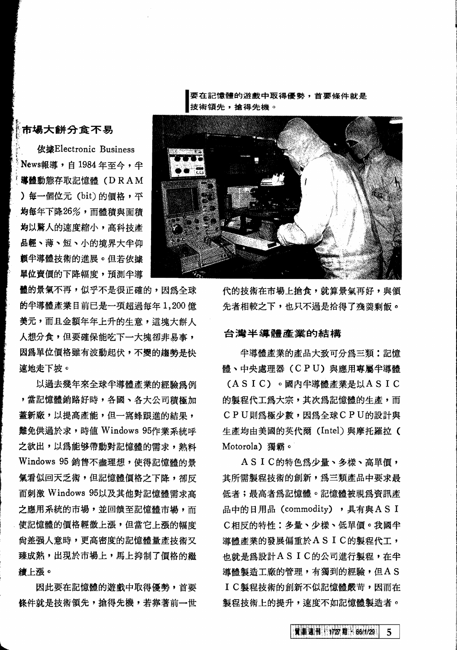要在記憶體的游戲中取得優勢,首要修件就是 技術領先,搶得先機。

#### f,. 市場大餅分食不易

i' **依據Electronic Business** News報導, 自 1984 年至今, 半 導體動態存取記憶體 (DRAM ) 每一個位元 (bit) 的價格,平 均每年下降 $26\%$ , 而體積與面積 均以驚人的涑度縮小, 高科技產 品輕、薄、短、小的境界大半仰 顧半導體技術的進展。但若依據 單位賣價的下降幅度,預測半道

體的景氣不再,似乎不是很正確的,因為全球 的半導體產業目前已是一項超過每年1,200億 美元,而且金額年年上升的生意,這塊大餅人 人想分食,但要確保能吃下一大塊卻非易事, 因為單位價格雖有波動起伏,不變的趨勢是快 谏地走下坡。

以過去幾年來全球半導體產業的經驗爲例 ,當記憶體銷路好時,各國、各大公司積極加 蓋新廠,以提高產能,但一窩蜂跟淮的結果, 難免供過於求,時值 Windows 95作業系統呼 之欲出,以為能够帶動對記憶體的需求,熟料 Windows 95 銷售不盡理想,使得記憶體的景 氣看似回天乏術,但記憶體價格之下降,卻反 而刺激 Windows 95以及其他對記憶體需求高 之應用系統的市場,並回饋至記憶體市場,而 使記憶體的價格輕微上漲,但當它上漲的幅度 尚差强人意時,更高密度的記憶體量產技術又 臻成熟,出現於市場上,馬上抑制了價格的繼 繪上漲。

因此要在記憶體的遊戲中取得優勢, 首要 條件就是技術領先,搶得先機,若靠著前一世

~



代的技術在市場上搶食,就算景氣再好,與領 先者相較之下,也只不過是拾得了殘羹剩飯。

### 台灣半導體產業的結構

半導體產業的產品大致可分為三類:記憶 體、中央處理器(CPU)與應用專屬半導體 (ASIC) 。國內半導體產業是以ASIC 的製程代工為大宗,其次為記憶體的生產,而 CPU則為極少數,因為全球CPU的設計與 生產均由美國的英代爾 (Intel) 與摩托羅拉 ( Motorola) 獨霸。

ASIC的特色為少量、多樣、高單價, 其所需製程技術的創新,為三類產品中要求最 低者;最高者為記憶體。記憶體被視為資訊產 品中的日用品 (commodity) , 具有與AS I C相反的特性:多量、少樣、低單價。我國半 導體產業的發展偏重於ASIC的製程代工, 也就是為設計ASIC的公司進行製程,在半 .<br>道體製造工廠的管理,有獨到的經驗,但A S I C製程技術的創新不似記憶體嚴苛,因而在 製程技術上的提升,速度不如記憶體製造者。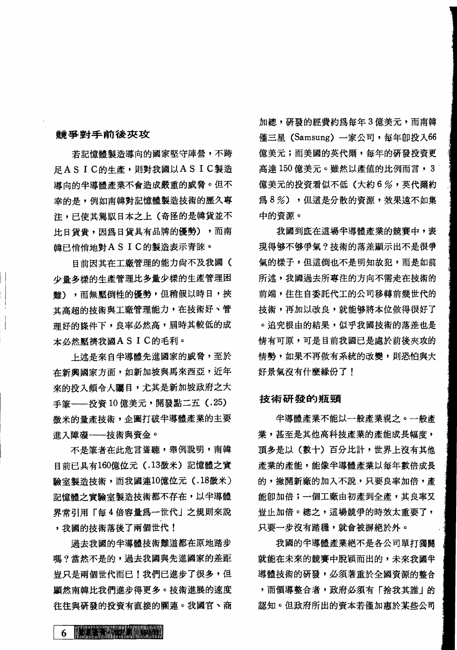### **静爭對手前後夾攻**

若記憶體製造導向的國家堅守陣營,不跨 ~ASIC~~.tM~a.UASIC.~ ~~~~~*..*~~.~~m.~~.om~ 導向的半導體產業不會造成嚴重的威脅。但不<br>幸的是,例如南韓對記憶體製造技術的歷久專 注,已使其駕馭日本之上(奇怪的是韓貨並不 比日貨貴,因為日貨具有品牌的優勢),而南 韓已悄悄地對ASIC的製造表示青睞。

目前因其在工廠管理的能力尙不及我國( 少量多様的生產管理比多量少樣的生產管理困 難),而無壓倒性的優勢,但稍假以時日,挾 其高超的技術與工廠管理能力,在技術好、管 理好的條件下,良率必然高, 国時其較低的成 本必然壓擠我國AS I C的毛利。

上述是來自半導體先進國家的威脅,至於 在新興國家方面,如新加坡與馬來西亞,近年 來的投入頗令人矚目,尤其是新加坡政府之大 手筆––投資10億美元,開發點二五 (.25) 微米的量產技術,企圖打破半導體產業的主要 進入障礙––技術與資金。

不是筆者在此危言聳聽,舉例說明,南韓 日前已具有160億位元 (.13微米) 記憶體之實 驗室製浩技術,而我國連10億位元 (.18微米) 記憶體之實驗室製造技術都不存在,以半導體 界常引用「每4倍容量為一世代」之規則來說 ,我國的技術落後了兩個世代!

過去我國的半導體技術難道都在原地踏步 嗎?當然不是的,過去我國與先進國家的差距 号只是兩個世代而已!我們已進步了很多,但 顯然南韓比我們進步得更多。技術進展的速度 往往與研發的投資有直接的關連。我國官、商 加總,研發的經費約為每年3億美元,而南韓 僅三星 (Samsung) 一家公司, 每年即投入66 億美元;而美國的英代爾,每年的研發投資更 高達 150 億美元。雖然以產值的比例而言, 3 **億美元的投資看似不低(大約6%,英代爾約** 為8%),但這是分散的資源,效果遠不如集 中的資源。

我國到底在這場半導體產業的競賽中,表 現得够不够爭氣?技術的落差顯示出不是很爭 氯的樣子,但這倒也不是明知故犯,而是如前 所述,我國過去所專注的方向不需走在技術的 前端,往往自委託代工的公司移轉前幾世代的 技術,再加以改良,就能够將本位做得很好了 。 追究根由的結果,似乎我國技術的落差也是 情有可原,可是目前我國已是處於前後夾攻的 情勢,如果不再做有系統的改變,則恐怕與大 好景氣沒有什麼緣份了!

### **技術研發的瓶頸**

半導體產業不能以一般產業視之。一般產 業,甚至是其他高科技產業的產能成長幅度, 頂多是以(數十)百分比計,世界上沒有其他 產業的產能,能像半導體產業以每年數倍成長 的,撇開新廠的加入不說,只要良率加倍,產 能即加倍;一個工廠由初產到全產,其良率又 豈止加倍。總之,這場競爭的時效太重要了, 只要一步沒有踏穩,就會被摒絕於外。

我國的半導體產業絕不是各公司單打獨鬪 就能在木米的競賽中脫親而出的,未來找國牛 就能在未來的競賽中脫穎而出的,未來我國半<br>導體技術的研發,必須著重於全國資源的整合 導體技術的研發,必須著重於全國資源的整合<br>,而領導整合者,政府必須有「捨我其誰」的 認知。但政府所出的資本若僅加惠於某些公司